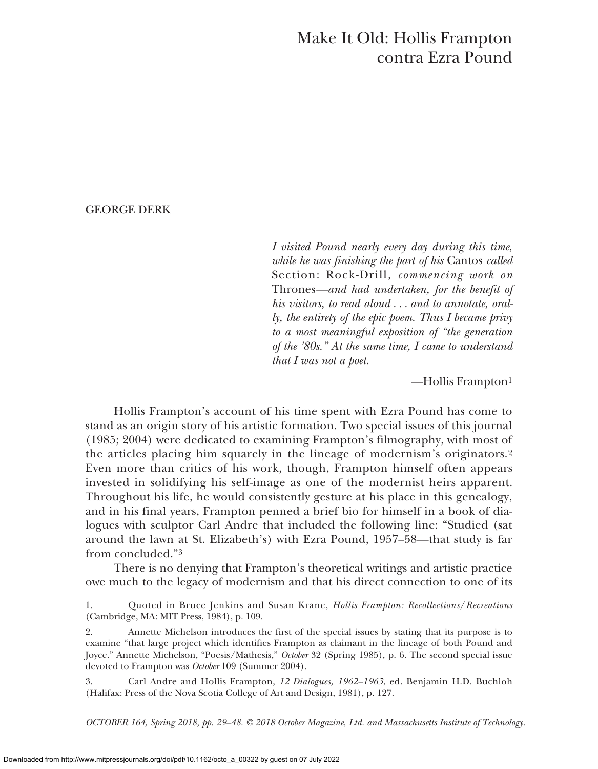# Make It Old: Hollis Frampton contra Ezra Pound

# GEORGE DERK

*I visited Pound nearly every day during this time, while he was finishing the part of his* Cantos *called* Section: Rock-Drill*, commencing work on* Thrones*—and had undertaken, for the benefit of his visitors, to read aloud . . . and to annotate, orally, the entirety of the epic poem. Thus I became privy to a most meaningful exposition of "the generation of the '80s." At the same time, I came to understand that I was not a poet.*

—Hollis Frampton1

Hollis Frampton's account of his time spent with Ezra Pound has come to stand as an origin story of his artistic formation. Two special issues of this journal (1985; 2004) were dedicated to examining Frampton's filmography, with most of the articles placing him squarely in the lineage of modernism's originators.2 Even more than critics of his work, though, Frampton himself often appears invested in solidifying his self-image as one of the modernist heirs apparent. Throughout his life, he would consistently gesture at his place in this genealogy, and in his final years, Frampton penned a brief bio for himself in a book of dialogues with sculptor Carl Andre that included the following line: "Studied (sat around the lawn at St. Elizabeth's) with Ezra Pound, 1957–58—that study is far from concluded."3

There is no denying that Frampton's theoretical writings and artistic practice owe much to the legacy of modernism and that his direct connection to one of its

1. Quoted in Bruce Jenkins and Susan Krane, *Hollis Frampton: Recollections*/*Recreations* (Cambridge, MA: MIT Press, 1984), p. 109.

2. Annette Michelson introduces the first of the special issues by stating that its purpose is to examine "that large project which identifies Frampton as claimant in the lineage of both Pound and Joyce." Annette Michelson, "Poesis/Mathesis," *October* 32 (Spring 1985), p. 6. The second special issue devoted to Frampton was *October* 109 (Summer 2004).

3. Carl Andre and Hollis Frampton, *12 Dialogues, 1962–1963*, ed. Benjamin H.D. Buchloh (Halifax: Press of the Nova Scotia College of Art and Design, 1981), p. 127.

*OCTOBER 164, Spring 2018, pp. 29–48. © 2018 October Magazine, Ltd. and Massachusetts Institute of Technology.*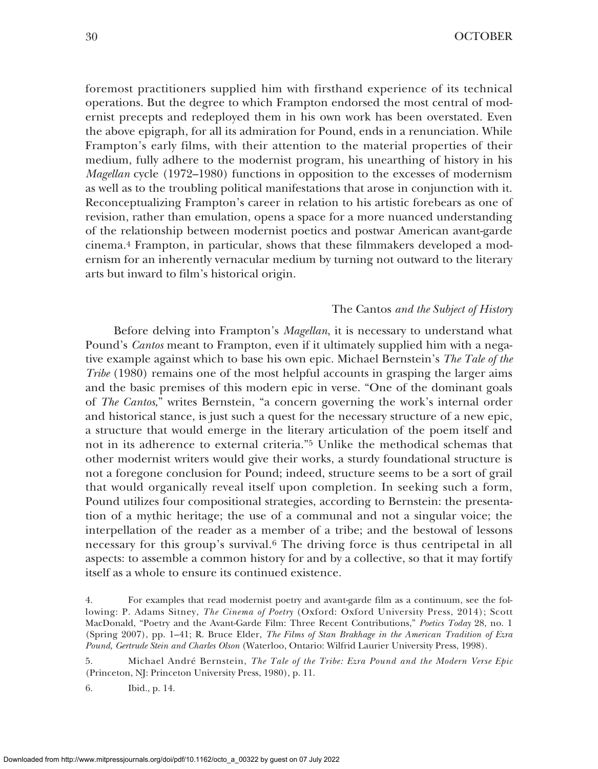foremost practitioners supplied him with firsthand experience of its technical operations. But the degree to which Frampton endorsed the most central of modernist precepts and redeployed them in his own work has been overstated. Even the above epigraph, for all its admiration for Pound, ends in a renunciation. While Frampton's early films, with their attention to the material properties of their medium, fully adhere to the modernist program, his unearthing of history in his *Magellan* cycle (1972–1980) functions in opposition to the excesses of modernism as well as to the troubling political manifestations that arose in conjunction with it. Reconceptualizing Frampton's career in relation to his artistic forebears as one of revision, rather than emulation, opens a space for a more nuanced understanding of the relationship between modernist poetics and postwar American avant-garde cinema.4 Frampton, in particular, shows that these filmmakers developed a modernism for an inherently vernacular medium by turning not outward to the literary arts but inward to film's historical origin.

#### The Cantos *and the Subject of History*

Before delving into Frampton's *Magellan*, it is necessary to understand what Pound's *Cantos* meant to Frampton, even if it ultimately supplied him with a negative example against which to base his own epic. Michael Bernstein's *The Tale of the Tribe* (1980) remains one of the most helpful accounts in grasping the larger aims and the basic premises of this modern epic in verse. "One of the dominant goals of *The Cantos*," writes Bernstein, "a concern governing the work's internal order and historical stance, is just such a quest for the necessary structure of a new epic, a structure that would emerge in the literary articulation of the poem itself and not in its adherence to external criteria."5 Unlike the methodical schemas that other modernist writers would give their works, a sturdy foundational structure is not a foregone conclusion for Pound; indeed, structure seems to be a sort of grail that would organically reveal itself upon completion. In seeking such a form, Pound utilizes four compositional strategies, according to Bernstein: the presentation of a mythic heritage; the use of a communal and not a singular voice; the interpellation of the reader as a member of a tribe; and the bestowal of lessons necessary for this group's survival.6 The driving force is thus centripetal in all aspects: to assemble a common history for and by a collective, so that it may fortify itself as a whole to ensure its continued existence.

5. Michael André Bernstein, *The Tale of the Tribe: Ezra Pound and the Modern Verse Epic* (Princeton, NJ: Princeton University Press, 1980), p. 11.

6. Ibid., p. 14.

<sup>4.</sup> For examples that read modernist poetry and avant-garde film as a continuum, see the following: P. Adams Sitney, *The Cinema of Poetry* (Oxford: Oxford University Press, 2014); Scott MacDonald, "Poetry and the Avant-Garde Film: Three Recent Contributions," *Poetics Today* 28, no. 1 (Spring 2007), pp. 1–41; R. Bruce Elder, *The Films of Stan Brakhage in the American Tradition of Ezra Pound, Gertrude Stein and Charles Olson* (Waterloo, Ontario: Wilfrid Laurier University Press, 1998).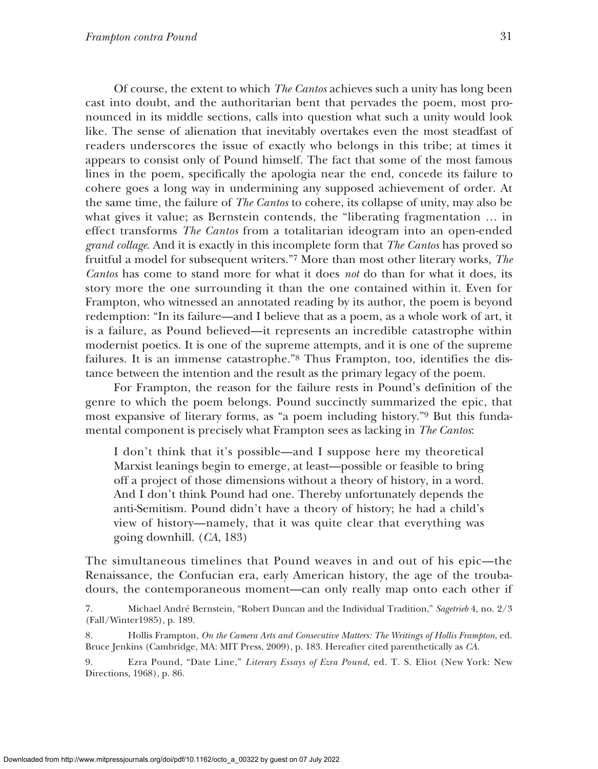Of course, the extent to which *The Cantos* achieves such a unity has long been cast into doubt, and the authoritarian bent that pervades the poem, most pronounced in its middle sections, calls into question what such a unity would look like. The sense of alienation that inevitably overtakes even the most steadfast of readers underscores the issue of exactly who belongs in this tribe; at times it appears to consist only of Pound himself. The fact that some of the most famous lines in the poem, specifically the apologia near the end, concede its failure to cohere goes a long way in undermining any supposed achievement of order. At the same time, the failure of *The Cantos* to cohere, its collapse of unity, may also be what gives it value; as Bernstein contends, the "liberating fragmentation … in effect transforms *The Cantos* from a totalitarian ideogram into an open-ended *grand collage*. And it is exactly in this incomplete form that *The Cantos* has proved so fruitful a model for subsequent writers."7 More than most other literary works, *The Cantos* has come to stand more for what it does *not* do than for what it does, its story more the one surrounding it than the one contained within it. Even for Frampton, who witnessed an annotated reading by its author, the poem is beyond redemption: "In its failure—and I believe that as a poem, as a whole work of art, it is a failure, as Pound believed—it represents an incredible catastrophe within modernist poetics. It is one of the supreme attempts, and it is one of the supreme failures. It is an immense catastrophe."8 Thus Frampton, too, identifies the distance between the intention and the result as the primary legacy of the poem.

For Frampton, the reason for the failure rests in Pound's definition of the genre to which the poem belongs. Pound succinctly summarized the epic, that most expansive of literary forms, as "a poem including history."9 But this fundamental component is precisely what Frampton sees as lacking in *The Cantos*:

I don't think that it's possible—and I suppose here my theoretical Marxist leanings begin to emerge, at least—possible or feasible to bring off a project of those dimensions without a theory of history, in a word. And I don't think Pound had one. Thereby unfortunately depends the anti-Semitism. Pound didn't have a theory of history; he had a child's view of history—namely, that it was quite clear that everything was going downhill. (*CA*, 183)

The simultaneous timelines that Pound weaves in and out of his epic—the Renaissance, the Confucian era, early American history, the age of the troubadours, the contemporaneous moment—can only really map onto each other if

7. Michael André Bernstein, "Robert Duncan and the Individual Tradition," *Sagetrieb* 4, no. 2/3 (Fall/Winter1985), p. 189.

8. Hollis Frampton, *On the Camera Arts and Consecutive Matters: The Writings of Hollis Frampton*, ed. Bruce Jenkins (Cambridge, MA: MIT Press, 2009), p. 183. Hereafter cited parenthetically as *CA*.

9. Ezra Pound, "Date Line," *Literary Essays of Ezra Pound*, ed. T. S. Eliot (New York: New Directions, 1968), p. 86.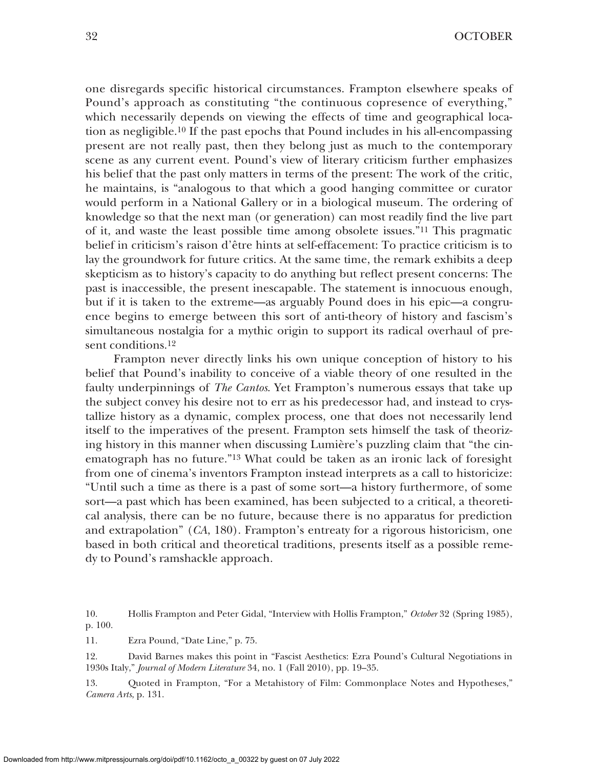one disregards specific historical circumstances. Frampton elsewhere speaks of Pound's approach as constituting "the continuous copresence of everything," which necessarily depends on viewing the effects of time and geographical location as negligible.10 If the past epochs that Pound includes in his all-encompassing present are not really past, then they belong just as much to the contemporary scene as any current event. Pound's view of literary criticism further emphasizes his belief that the past only matters in terms of the present: The work of the critic, he maintains, is "analogous to that which a good hanging committee or curator would perform in a National Gallery or in a biological museum. The ordering of knowledge so that the next man (or generation) can most readily find the live part of it, and waste the least possible time among obsolete issues."11 This pragmatic belief in criticism's raison d'être hints at self-effacement: To practice criticism is to lay the groundwork for future critics. At the same time, the remark exhibits a deep skepticism as to history's capacity to do anything but reflect present concerns: The past is inaccessible, the present inescapable. The statement is innocuous enough, but if it is taken to the extreme—as arguably Pound does in his epic—a congruence begins to emerge between this sort of anti-theory of history and fascism's simultaneous nostalgia for a mythic origin to support its radical overhaul of present conditions.<sup>12</sup>

Frampton never directly links his own unique conception of history to his belief that Pound's inability to conceive of a viable theory of one resulted in the faulty underpinnings of *The Cantos*. Yet Frampton's numerous essays that take up the subject convey his desire not to err as his predecessor had, and instead to crystallize history as a dynamic, complex process, one that does not necessarily lend itself to the imperatives of the present. Frampton sets himself the task of theorizing history in this manner when discussing Lumière's puzzling claim that "the cinematograph has no future."13 What could be taken as an ironic lack of foresight from one of cinema's inventors Frampton instead interprets as a call to historicize: "Until such a time as there is a past of some sort—a history furthermore, of some sort—a past which has been examined, has been subjected to a critical, a theoretical analysis, there can be no future, because there is no apparatus for prediction and extrapolation" (*CA*, 180). Frampton's entreaty for a rigorous historicism, one based in both critical and theoretical traditions, presents itself as a possible remedy to Pound's ramshackle approach.

10. Hollis Frampton and Peter Gidal, "Interview with Hollis Frampton," *October* 32 (Spring 1985), p. 100.

11. Ezra Pound, "Date Line," p. 75.

12. David Barnes makes this point in "Fascist Aesthetics: Ezra Pound's Cultural Negotiations in 1930s Italy," *Journal of Modern Literature* 34, no. 1 (Fall 2010), pp. 19–35.

13. Quoted in Frampton, "For a Metahistory of Film: Commonplace Notes and Hypotheses," *Camera Arts*, p. 131.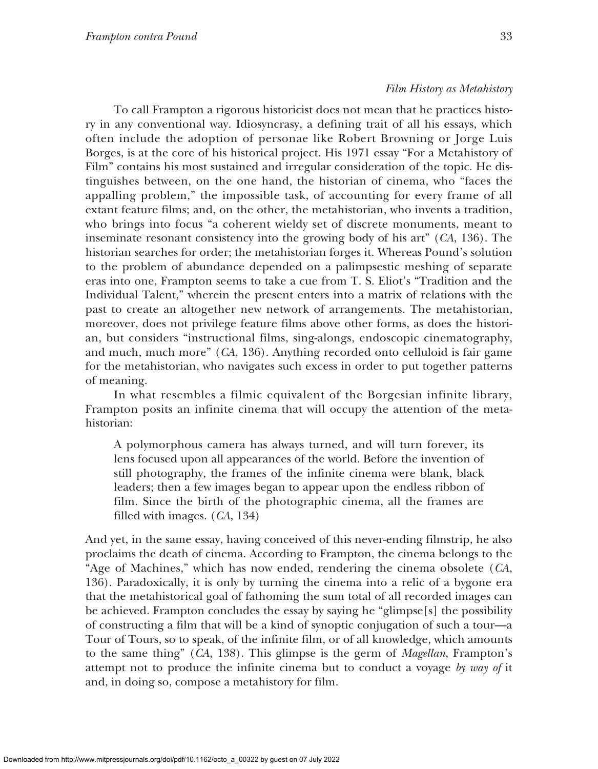To call Frampton a rigorous historicist does not mean that he practices history in any conventional way. Idiosyncrasy, a defining trait of all his essays, which often include the adoption of personae like Robert Browning or Jorge Luis Borges, is at the core of his historical project. His 1971 essay "For a Metahistory of Film" contains his most sustained and irregular consideration of the topic. He distinguishes between, on the one hand, the historian of cinema, who "faces the appalling problem," the impossible task, of accounting for every frame of all extant feature films; and, on the other, the metahistorian, who invents a tradition, who brings into focus "a coherent wieldy set of discrete monuments, meant to inseminate resonant consistency into the growing body of his art" (*CA*, 136). The historian searches for order; the metahistorian forges it. Whereas Pound's solution to the problem of abundance depended on a palimpsestic meshing of separate eras into one, Frampton seems to take a cue from T. S. Eliot's "Tradition and the Individual Talent," wherein the present enters into a matrix of relations with the past to create an altogether new network of arrangements. The metahistorian, moreover, does not privilege feature films above other forms, as does the historian, but considers "instructional films, sing-alongs, endoscopic cinematography, and much, much more" (*CA*, 136). Anything recorded onto celluloid is fair game for the metahistorian, who navigates such excess in order to put together patterns of meaning.

In what resembles a filmic equivalent of the Borgesian infinite library, Frampton posits an infinite cinema that will occupy the attention of the metahistorian:

A polymorphous camera has always turned, and will turn forever, its lens focused upon all appearances of the world. Before the invention of still photography, the frames of the infinite cinema were blank, black leaders; then a few images began to appear upon the endless ribbon of film. Since the birth of the photographic cinema, all the frames are filled with images. (*CA*, 134)

And yet, in the same essay, having conceived of this never-ending filmstrip, he also proclaims the death of cinema. According to Frampton, the cinema belongs to the "Age of Machines," which has now ended, rendering the cinema obsolete (*CA*, 136). Paradoxically, it is only by turning the cinema into a relic of a bygone era that the metahistorical goal of fathoming the sum total of all recorded images can be achieved. Frampton concludes the essay by saying he "glimpse[s] the possibility of constructing a film that will be a kind of synoptic conjugation of such a tour—a Tour of Tours, so to speak, of the infinite film, or of all knowledge, which amounts to the same thing" (*CA*, 138). This glimpse is the germ of *Magellan*, Frampton's attempt not to produce the infinite cinema but to conduct a voyage *by way of* it and, in doing so, compose a metahistory for film.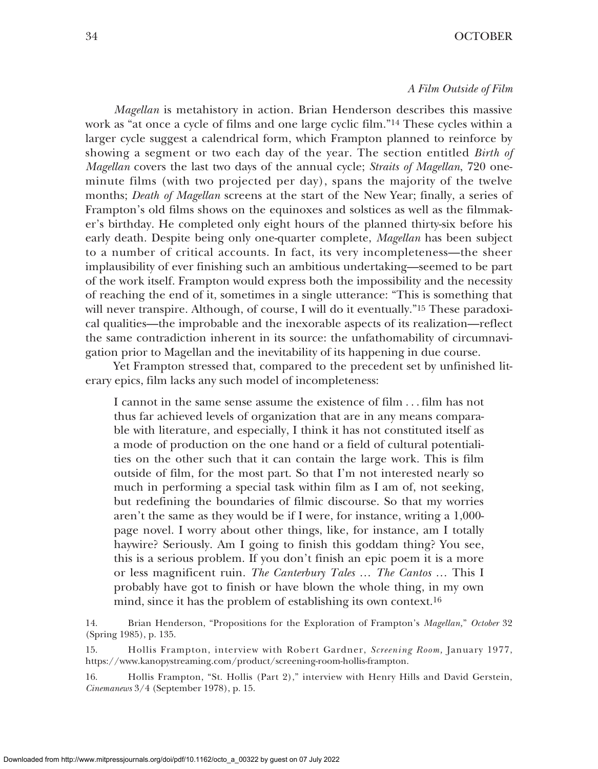# 34 OCTOBER

#### *A Film Outside of Film*

*Magellan* is metahistory in action. Brian Henderson describes this massive work as "at once a cycle of films and one large cyclic film."14 These cycles within a larger cycle suggest a calendrical form, which Frampton planned to reinforce by showing a segment or two each day of the year. The section entitled *Birth of Magellan* covers the last two days of the annual cycle; *Straits of Magellan*, 720 oneminute films (with two projected per day), spans the majority of the twelve months; *Death of Magellan* screens at the start of the New Year; finally, a series of Frampton's old films shows on the equinoxes and solstices as well as the filmmaker's birthday. He completed only eight hours of the planned thirty-six before his early death. Despite being only one-quarter complete, *Magellan* has been subject to a number of critical accounts. In fact, its very incompleteness—the sheer implausibility of ever finishing such an ambitious undertaking—seemed to be part of the work itself. Frampton would express both the impossibility and the necessity of reaching the end of it, sometimes in a single utterance: "This is something that will never transpire. Although, of course, I will do it eventually.<sup>"15</sup> These paradoxical qualities—the improbable and the inexorable aspects of its realization—reflect the same contradiction inherent in its source: the unfathomability of circumnavigation prior to Magellan and the inevitability of its happening in due course.

Yet Frampton stressed that, compared to the precedent set by unfinished literary epics, film lacks any such model of incompleteness:

I cannot in the same sense assume the existence of film . . . film has not thus far achieved levels of organization that are in any means comparable with literature, and especially, I think it has not constituted itself as a mode of production on the one hand or a field of cultural potentialities on the other such that it can contain the large work. This is film outside of film, for the most part. So that I'm not interested nearly so much in performing a special task within film as I am of, not seeking, but redefining the boundaries of filmic discourse. So that my worries aren't the same as they would be if I were, for instance, writing a 1,000 page novel. I worry about other things, like, for instance, am I totally haywire? Seriously. Am I going to finish this goddam thing? You see, this is a serious problem. If you don't finish an epic poem it is a more or less magnificent ruin. *The Canterbury Tales* … *The Cantos* … This I probably have got to finish or have blown the whole thing, in my own mind, since it has the problem of establishing its own context.16

14. Brian Henderson, "Propositions for the Exploration of Frampton's *Magellan,*" *October* 32 (Spring 1985), p. 135.

15. Hollis Frampton, interview with Robert Gardner, *Screening Room,* January 1977, https://www.kanopystreaming.com/product/screening-room-hollis-frampton.

16. Hollis Frampton, "St. Hollis (Part 2)," interview with Henry Hills and David Gerstein, *Cinemanews* 3/4 (September 1978), p. 15.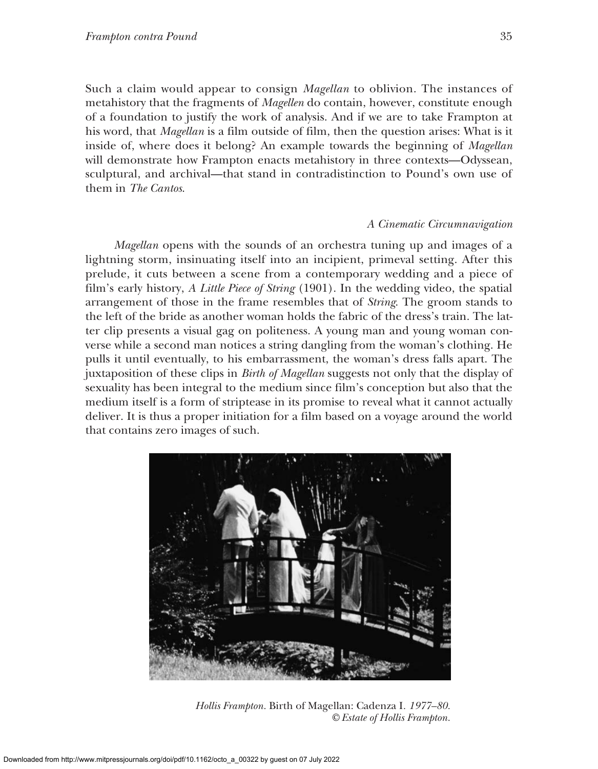Such a claim would appear to consign *Magellan* to oblivion. The instances of metahistory that the fragments of *Magellen* do contain, however, constitute enough of a foundation to justify the work of analysis. And if we are to take Frampton at his word, that *Magellan* is a film outside of film, then the question arises: What is it inside of, where does it belong? An example towards the beginning of *Magellan* will demonstrate how Frampton enacts metahistory in three contexts—Odyssean, sculptural, and archival—that stand in contradistinction to Pound's own use of them in *The Cantos*.

# *A Cinematic Circumnavigation*

*Magellan* opens with the sounds of an orchestra tuning up and images of a lightning storm, insinuating itself into an incipient, primeval setting. After this prelude, it cuts between a scene from a contemporary wedding and a piece of film's early history, *A Little Piece of String* (1901). In the wedding video, the spatial arrangement of those in the frame resembles that of *String*. The groom stands to the left of the bride as another woman holds the fabric of the dress's train. The latter clip presents a visual gag on politeness. A young man and young woman converse while a second man notices a string dangling from the woman's clothing. He pulls it until eventually, to his embarrassment, the woman's dress falls apart. The juxtaposition of these clips in *Birth of Magellan* suggests not only that the display of sexuality has been integral to the medium since film's conception but also that the medium itself is a form of striptease in its promise to reveal what it cannot actually deliver. It is thus a proper initiation for a film based on a voyage around the world that contains zero images of such.



*Hollis Frampton.* Birth of Magellan: Cadenza I*. 1977–80. © Estate of Hollis Frampton.*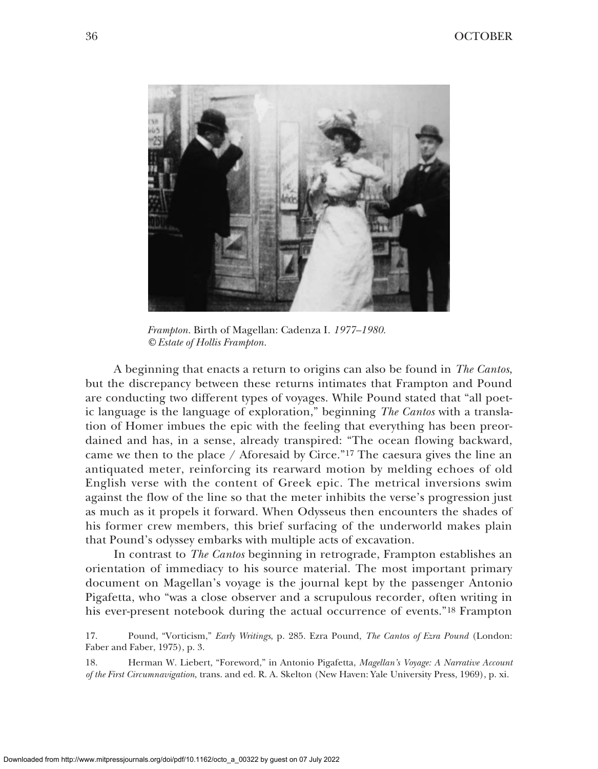

*Frampton.* Birth of Magellan: Cadenza I*. 1977–1980. © Estate of Hollis Frampton.*

A beginning that enacts a return to origins can also be found in *The Cantos*, but the discrepancy between these returns intimates that Frampton and Pound are conducting two different types of voyages. While Pound stated that "all poetic language is the language of exploration," beginning *The Cantos* with a translation of Homer imbues the epic with the feeling that everything has been preordained and has, in a sense, already transpired: "The ocean flowing backward, came we then to the place / Aforesaid by Circe."17 The caesura gives the line an antiquated meter, reinforcing its rearward motion by melding echoes of old English verse with the content of Greek epic. The metrical inversions swim against the flow of the line so that the meter inhibits the verse's progression just as much as it propels it forward. When Odysseus then encounters the shades of his former crew members, this brief surfacing of the underworld makes plain that Pound's odyssey embarks with multiple acts of excavation.

In contrast to *The Cantos* beginning in retrograde, Frampton establishes an orientation of immediacy to his source material. The most important primary document on Magellan's voyage is the journal kept by the passenger Antonio Pigafetta, who "was a close observer and a scrupulous recorder, often writing in his ever-present notebook during the actual occurrence of events."18 Frampton

17. Pound, "Vorticism," *Early Writings*, p. 285. Ezra Pound, *The Cantos of Ezra Pound* (London: Faber and Faber, 1975), p. 3.

18. Herman W. Liebert, "Foreword," in Antonio Pigafetta, *Magellan's Voyage: A Narrative Account of the First Circumnavigation*, trans. and ed. R. A. Skelton (New Haven: Yale University Press, 1969), p. xi.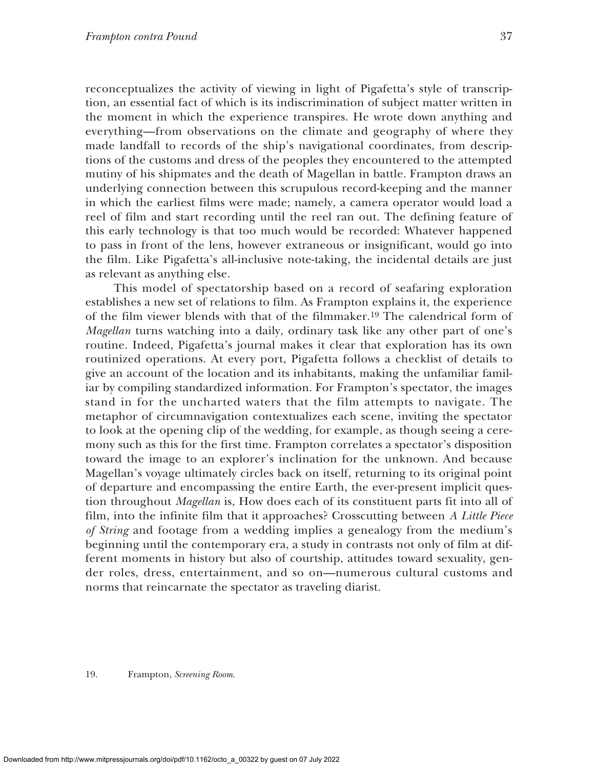reconceptualizes the activity of viewing in light of Pigafetta's style of transcription, an essential fact of which is its indiscrimination of subject matter written in the moment in which the experience transpires. He wrote down anything and everything—from observations on the climate and geography of where they made landfall to records of the ship's navigational coordinates, from descriptions of the customs and dress of the peoples they encountered to the attempted mutiny of his shipmates and the death of Magellan in battle. Frampton draws an underlying connection between this scrupulous record-keeping and the manner in which the earliest films were made; namely, a camera operator would load a reel of film and start recording until the reel ran out. The defining feature of this early technology is that too much would be recorded: Whatever happened to pass in front of the lens, however extraneous or insignificant, would go into the film. Like Pigafetta's all-inclusive note-taking, the incidental details are just as relevant as anything else.

This model of spectatorship based on a record of seafaring exploration establishes a new set of relations to film. As Frampton explains it, the experience of the film viewer blends with that of the filmmaker.19 The calendrical form of *Magellan* turns watching into a daily, ordinary task like any other part of one's routine. Indeed, Pigafetta's journal makes it clear that exploration has its own routinized operations. At every port, Pigafetta follows a checklist of details to give an account of the location and its inhabitants, making the unfamiliar familiar by compiling standardized information. For Frampton's spectator, the images stand in for the uncharted waters that the film attempts to navigate. The metaphor of circumnavigation contextualizes each scene, inviting the spectator to look at the opening clip of the wedding, for example, as though seeing a ceremony such as this for the first time. Frampton correlates a spectator's disposition toward the image to an explorer's inclination for the unknown. And because Magellan's voyage ultimately circles back on itself, returning to its original point of departure and encompassing the entire Earth, the ever-present implicit question throughout *Magellan* is, How does each of its constituent parts fit into all of film, into the infinite film that it approaches? Crosscutting between *A Little Piece of String* and footage from a wedding implies a genealogy from the medium's beginning until the contemporary era, a study in contrasts not only of film at different moments in history but also of courtship, attitudes toward sexuality, gender roles, dress, entertainment, and so on—numerous cultural customs and norms that reincarnate the spectator as traveling diarist.

19. Frampton, *Screening Room*.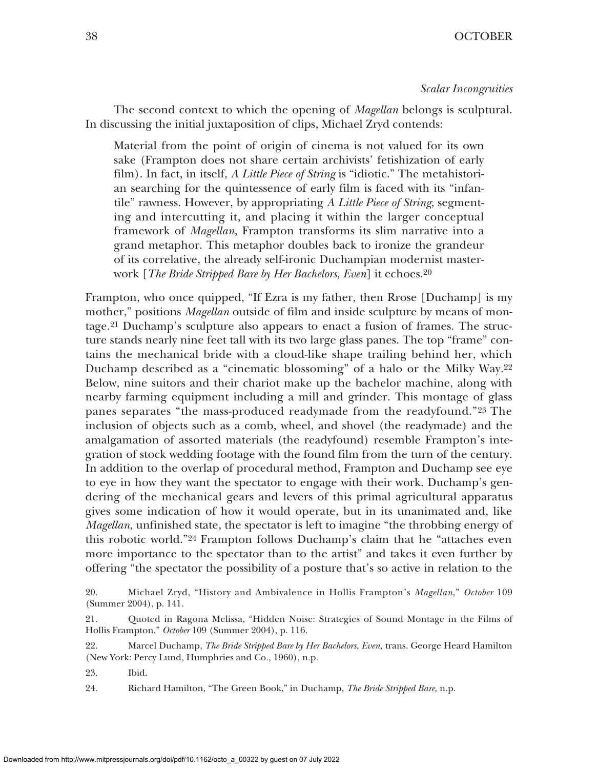The second context to which the opening of *Magellan* belongs is sculptural. In discussing the initial juxtaposition of clips, Michael Zryd contends:

Material from the point of origin of cinema is not valued for its own sake (Frampton does not share certain archivists' fetishization of early film). In fact, in itself, *A Little Piece of String* is "idiotic." The metahistorian searching for the quintessence of early film is faced with its "infantile" rawness. However, by appropriating *A Little Piece of String*, segmenting and intercutting it, and placing it within the larger conceptual framework of *Magellan*, Frampton transforms its slim narrative into a grand metaphor. This metaphor doubles back to ironize the grandeur of its correlative, the already self-ironic Duchampian modernist masterwork [*The Bride Stripped Bare by Her Bachelors, Even*] it echoes.20

Frampton, who once quipped, "If Ezra is my father, then Rrose [Duchamp] is my mother," positions *Magellan* outside of film and inside sculpture by means of montage.21 Duchamp's sculpture also appears to enact a fusion of frames. The structure stands nearly nine feet tall with its two large glass panes. The top "frame" contains the mechanical bride with a cloud-like shape trailing behind her, which Duchamp described as a "cinematic blossoming" of a halo or the Milky Way.22 Below, nine suitors and their chariot make up the bachelor machine, along with nearby farming equipment including a mill and grinder. This montage of glass panes separates "the mass-produced readymade from the readyfound."23 The inclusion of objects such as a comb, wheel, and shovel (the readymade) and the amalgamation of assorted materials (the readyfound) resemble Frampton's integration of stock wedding footage with the found film from the turn of the century. In addition to the overlap of procedural method, Frampton and Duchamp see eye to eye in how they want the spectator to engage with their work. Duchamp's gendering of the mechanical gears and levers of this primal agricultural apparatus gives some indication of how it would operate, but in its unanimated and, like *Magellan*, unfinished state, the spectator is left to imagine "the throbbing energy of this robotic world."24 Frampton follows Duchamp's claim that he "attaches even more importance to the spectator than to the artist" and takes it even further by offering "the spectator the possibility of a posture that's so active in relation to the

23. Ibid.

24. Richard Hamilton, "The Green Book," in Duchamp, *The Bride Stripped Bare,* n.p.

<sup>20.</sup> Michael Zryd, "History and Ambivalence in Hollis Frampton's *Magellan*," *October* 109 (Summer 2004), p. 141.

<sup>21.</sup> Quoted in Ragona Melissa, "Hidden Noise: Strategies of Sound Montage in the Films of Hollis Frampton," *October* 109 (Summer 2004), p. 116.

<sup>22.</sup> Marcel Duchamp, *The Bride Stripped Bare by Her Bachelors, Even,* trans. George Heard Hamilton (New York: Percy Lund, Humphries and Co., 1960), n.p.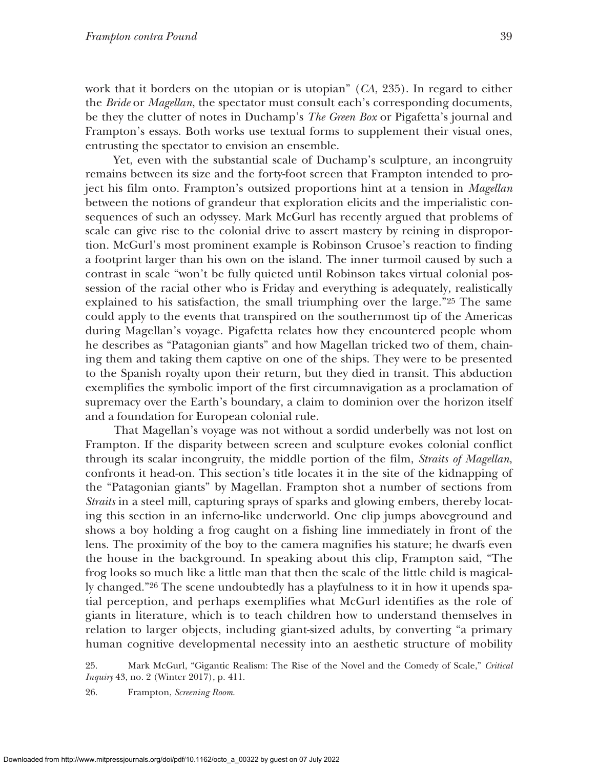work that it borders on the utopian or is utopian" (*CA*, 235). In regard to either the *Bride* or *Magellan*, the spectator must consult each's corresponding documents, be they the clutter of notes in Duchamp's *The Green Box* or Pigafetta's journal and Frampton's essays. Both works use textual forms to supplement their visual ones, entrusting the spectator to envision an ensemble.

Yet, even with the substantial scale of Duchamp's sculpture, an incongruity remains between its size and the forty-foot screen that Frampton intended to project his film onto. Frampton's outsized proportions hint at a tension in *Magellan* between the notions of grandeur that exploration elicits and the imperialistic consequences of such an odyssey. Mark McGurl has recently argued that problems of scale can give rise to the colonial drive to assert mastery by reining in disproportion. McGurl's most prominent example is Robinson Crusoe's reaction to finding a footprint larger than his own on the island. The inner turmoil caused by such a contrast in scale "won't be fully quieted until Robinson takes virtual colonial possession of the racial other who is Friday and everything is adequately, realistically explained to his satisfaction, the small triumphing over the large."25 The same could apply to the events that transpired on the southernmost tip of the Americas during Magellan's voyage. Pigafetta relates how they encountered people whom he describes as "Patagonian giants" and how Magellan tricked two of them, chaining them and taking them captive on one of the ships. They were to be presented to the Spanish royalty upon their return, but they died in transit. This abduction exemplifies the symbolic import of the first circumnavigation as a proclamation of supremacy over the Earth's boundary, a claim to dominion over the horizon itself and a foundation for European colonial rule.

That Magellan's voyage was not without a sordid underbelly was not lost on Frampton. If the disparity between screen and sculpture evokes colonial conflict through its scalar incongruity, the middle portion of the film, *Straits of Magellan*, confronts it head-on. This section's title locates it in the site of the kidnapping of the "Patagonian giants" by Magellan. Frampton shot a number of sections from *Straits* in a steel mill, capturing sprays of sparks and glowing embers, thereby locating this section in an inferno-like underworld. One clip jumps aboveground and shows a boy holding a frog caught on a fishing line immediately in front of the lens. The proximity of the boy to the camera magnifies his stature; he dwarfs even the house in the background. In speaking about this clip, Frampton said, "The frog looks so much like a little man that then the scale of the little child is magically changed."26 The scene undoubtedly has a playfulness to it in how it upends spatial perception, and perhaps exemplifies what McGurl identifies as the role of giants in literature, which is to teach children how to understand themselves in relation to larger objects, including giant-sized adults, by converting "a primary human cognitive developmental necessity into an aesthetic structure of mobility

25. Mark McGurl, "Gigantic Realism: The Rise of the Novel and the Comedy of Scale," *Critical Inquiry* 43, no. 2 (Winter 2017), p. 411.

26. Frampton, *Screening Room*.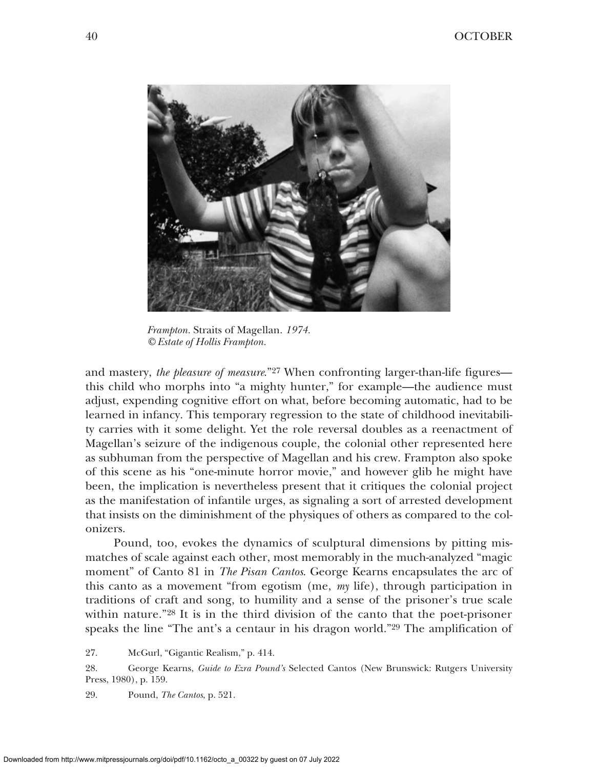

*Frampton.* Straits of Magellan. *1974. © Estate of Hollis Frampton.*

and mastery, *the pleasure of measure*."27 When confronting larger-than-life figures this child who morphs into "a mighty hunter," for example—the audience must adjust, expending cognitive effort on what, before becoming automatic, had to be learned in infancy. This temporary regression to the state of childhood inevitability carries with it some delight. Yet the role reversal doubles as a reenactment of Magellan's seizure of the indigenous couple, the colonial other represented here as subhuman from the perspective of Magellan and his crew. Frampton also spoke of this scene as his "one-minute horror movie," and however glib he might have been, the implication is nevertheless present that it critiques the colonial project as the manifestation of infantile urges, as signaling a sort of arrested development that insists on the diminishment of the physiques of others as compared to the colonizers.

Pound, too, evokes the dynamics of sculptural dimensions by pitting mismatches of scale against each other, most memorably in the much-analyzed "magic moment" of Canto 81 in *The Pisan Cantos*. George Kearns encapsulates the arc of this canto as a movement "from egotism (me, *my* life), through participation in traditions of craft and song, to humility and a sense of the prisoner's true scale within nature."28 It is in the third division of the canto that the poet-prisoner speaks the line "The ant's a centaur in his dragon world."29 The amplification of

27. McGurl, "Gigantic Realism," p. 414.

28. George Kearns, *Guide to Ezra Pound's* Selected Cantos (New Brunswick: Rutgers University Press, 1980), p. 159.

29. Pound, *The Cantos*, p. 521.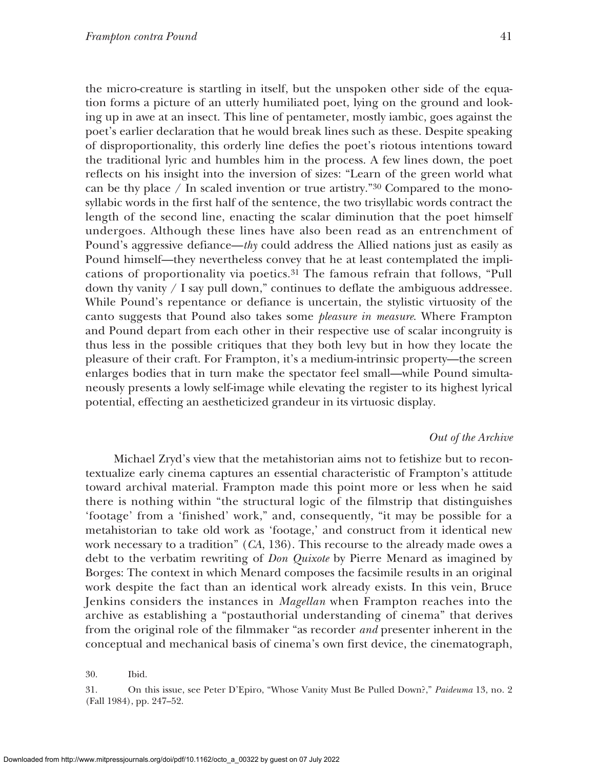the micro-creature is startling in itself, but the unspoken other side of the equation forms a picture of an utterly humiliated poet, lying on the ground and looking up in awe at an insect. This line of pentameter, mostly iambic, goes against the poet's earlier declaration that he would break lines such as these. Despite speaking of disproportionality, this orderly line defies the poet's riotous intentions toward the traditional lyric and humbles him in the process. A few lines down, the poet reflects on his insight into the inversion of sizes: "Learn of the green world what can be thy place  $/$  In scaled invention or true artistry."<sup>30</sup> Compared to the monosyllabic words in the first half of the sentence, the two trisyllabic words contract the length of the second line, enacting the scalar diminution that the poet himself undergoes. Although these lines have also been read as an entrenchment of Pound's aggressive defiance—*thy* could address the Allied nations just as easily as Pound himself—they nevertheless convey that he at least contemplated the implications of proportionality via poetics.31 The famous refrain that follows, "Pull down thy vanity  $\ell$  I say pull down," continues to deflate the ambiguous addressee. While Pound's repentance or defiance is uncertain, the stylistic virtuosity of the canto suggests that Pound also takes some *pleasure in measure*. Where Frampton and Pound depart from each other in their respective use of scalar incongruity is thus less in the possible critiques that they both levy but in how they locate the pleasure of their craft. For Frampton, it's a medium-intrinsic property—the screen enlarges bodies that in turn make the spectator feel small—while Pound simultaneously presents a lowly self-image while elevating the register to its highest lyrical potential, effecting an aestheticized grandeur in its virtuosic display.

## *Out of the Archive*

Michael Zryd's view that the metahistorian aims not to fetishize but to recontextualize early cinema captures an essential characteristic of Frampton's attitude toward archival material. Frampton made this point more or less when he said there is nothing within "the structural logic of the filmstrip that distinguishes 'footage' from a 'finished' work," and, consequently, "it may be possible for a metahistorian to take old work as 'footage,' and construct from it identical new work necessary to a tradition" (*CA*, 136). This recourse to the already made owes a debt to the verbatim rewriting of *Don Quixote* by Pierre Menard as imagined by Borges: The context in which Menard composes the facsimile results in an original work despite the fact than an identical work already exists. In this vein, Bruce Jenkins considers the instances in *Magellan* when Frampton reaches into the archive as establishing a "postauthorial understanding of cinema" that derives from the original role of the filmmaker "as recorder *and* presenter inherent in the conceptual and mechanical basis of cinema's own first device, the cinematograph,

<sup>30.</sup> Ibid.

<sup>31.</sup> On this issue, see Peter D'Epiro, "Whose Vanity Must Be Pulled Down?," *Paideuma* 13, no. 2 (Fall 1984), pp. 247–52.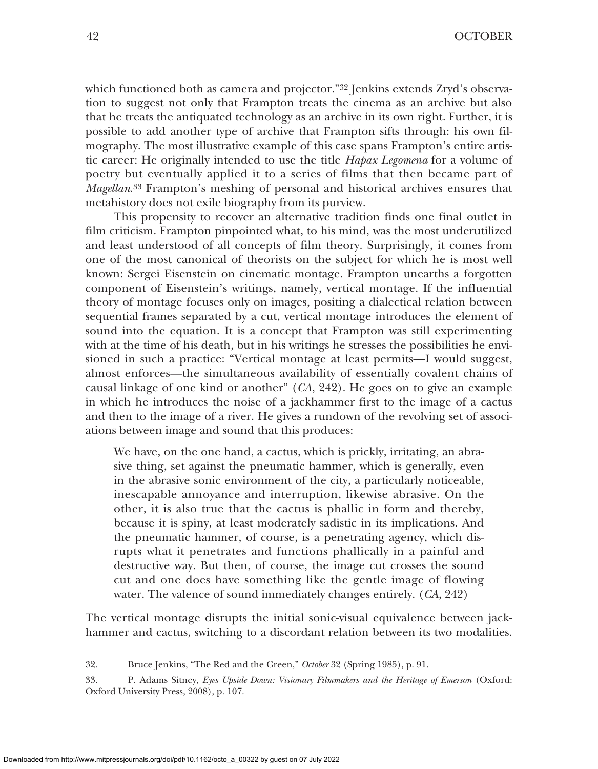which functioned both as camera and projector."<sup>32</sup> Jenkins extends Zryd's observation to suggest not only that Frampton treats the cinema as an archive but also that he treats the antiquated technology as an archive in its own right. Further, it is possible to add another type of archive that Frampton sifts through: his own filmography. The most illustrative example of this case spans Frampton's entire artistic career: He originally intended to use the title *Hapax Legomena* for a volume of poetry but eventually applied it to a series of films that then became part of *Magellan*.33 Frampton's meshing of personal and historical archives ensures that metahistory does not exile biography from its purview.

This propensity to recover an alternative tradition finds one final outlet in film criticism. Frampton pinpointed what, to his mind, was the most underutilized and least understood of all concepts of film theory. Surprisingly, it comes from one of the most canonical of theorists on the subject for which he is most well known: Sergei Eisenstein on cinematic montage. Frampton unearths a forgotten component of Eisenstein's writings, namely, vertical montage. If the influential theory of montage focuses only on images, positing a dialectical relation between sequential frames separated by a cut, vertical montage introduces the element of sound into the equation. It is a concept that Frampton was still experimenting with at the time of his death, but in his writings he stresses the possibilities he envisioned in such a practice: "Vertical montage at least permits—I would suggest, almost enforces—the simultaneous availability of essentially covalent chains of causal linkage of one kind or another" (*CA*, 242). He goes on to give an example in which he introduces the noise of a jackhammer first to the image of a cactus and then to the image of a river. He gives a rundown of the revolving set of associations between image and sound that this produces:

We have, on the one hand, a cactus, which is prickly, irritating, an abrasive thing, set against the pneumatic hammer, which is generally, even in the abrasive sonic environment of the city, a particularly noticeable, inescapable annoyance and interruption, likewise abrasive. On the other, it is also true that the cactus is phallic in form and thereby, because it is spiny, at least moderately sadistic in its implications. And the pneumatic hammer, of course, is a penetrating agency, which disrupts what it penetrates and functions phallically in a painful and destructive way. But then, of course, the image cut crosses the sound cut and one does have something like the gentle image of flowing water. The valence of sound immediately changes entirely. (*CA*, 242)

The vertical montage disrupts the initial sonic-visual equivalence between jackhammer and cactus, switching to a discordant relation between its two modalities.

<sup>32.</sup> Bruce Jenkins, "The Red and the Green," *October* 32 (Spring 1985), p. 91.

<sup>33.</sup> P. Adams Sitney, *Eyes Upside Down: Visionary Filmmakers and the Heritage of Emerson* (Oxford: Oxford University Press, 2008), p. 107.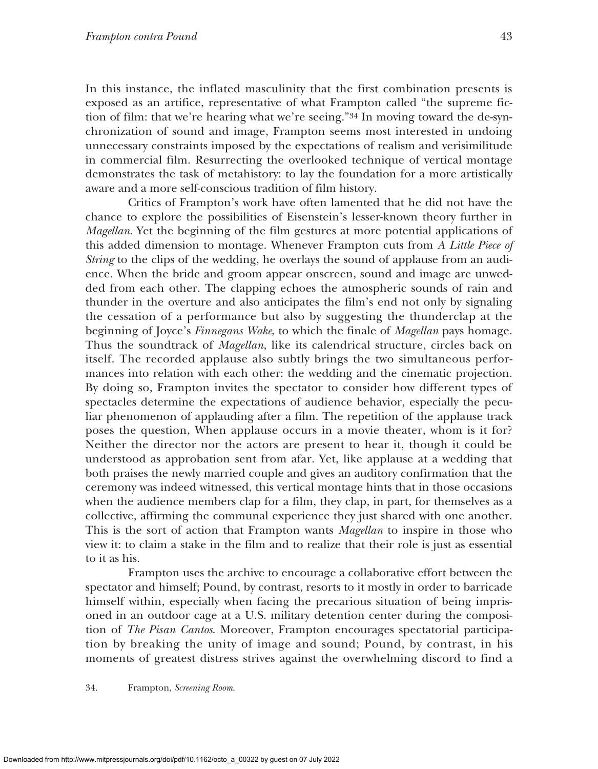In this instance, the inflated masculinity that the first combination presents is exposed as an artifice, representative of what Frampton called "the supreme fiction of film: that we're hearing what we're seeing."34 In moving toward the de-synchronization of sound and image, Frampton seems most interested in undoing unnecessary constraints imposed by the expectations of realism and verisimilitude in commercial film. Resurrecting the overlooked technique of vertical montage demonstrates the task of metahistory: to lay the foundation for a more artistically aware and a more self-conscious tradition of film history.

Critics of Frampton's work have often lamented that he did not have the chance to explore the possibilities of Eisenstein's lesser-known theory further in *Magellan*. Yet the beginning of the film gestures at more potential applications of this added dimension to montage. Whenever Frampton cuts from *A Little Piece of String* to the clips of the wedding, he overlays the sound of applause from an audience. When the bride and groom appear onscreen, sound and image are unwedded from each other. The clapping echoes the atmospheric sounds of rain and thunder in the overture and also anticipates the film's end not only by signaling the cessation of a performance but also by suggesting the thunderclap at the beginning of Joyce's *Finnegans Wake*, to which the finale of *Magellan* pays homage. Thus the soundtrack of *Magellan*, like its calendrical structure, circles back on itself. The recorded applause also subtly brings the two simultaneous performances into relation with each other: the wedding and the cinematic projection. By doing so, Frampton invites the spectator to consider how different types of spectacles determine the expectations of audience behavior, especially the peculiar phenomenon of applauding after a film. The repetition of the applause track poses the question, When applause occurs in a movie theater, whom is it for? Neither the director nor the actors are present to hear it, though it could be understood as approbation sent from afar. Yet, like applause at a wedding that both praises the newly married couple and gives an auditory confirmation that the ceremony was indeed witnessed, this vertical montage hints that in those occasions when the audience members clap for a film, they clap, in part, for themselves as a collective, affirming the communal experience they just shared with one another. This is the sort of action that Frampton wants *Magellan* to inspire in those who view it: to claim a stake in the film and to realize that their role is just as essential to it as his.

Frampton uses the archive to encourage a collaborative effort between the spectator and himself; Pound, by contrast, resorts to it mostly in order to barricade himself within, especially when facing the precarious situation of being imprisoned in an outdoor cage at a U.S. military detention center during the composition of *The Pisan Cantos*. Moreover, Frampton encourages spectatorial participation by breaking the unity of image and sound; Pound, by contrast, in his moments of greatest distress strives against the overwhelming discord to find a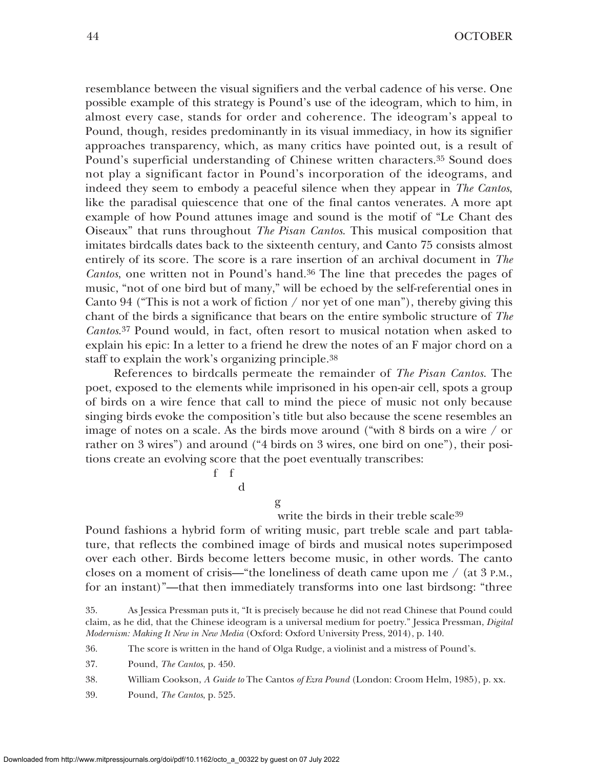resemblance between the visual signifiers and the verbal cadence of his verse. One possible example of this strategy is Pound's use of the ideogram, which to him, in almost every case, stands for order and coherence. The ideogram's appeal to Pound, though, resides predominantly in its visual immediacy, in how its signifier approaches transparency, which, as many critics have pointed out, is a result of Pound's superficial understanding of Chinese written characters.35 Sound does not play a significant factor in Pound's incorporation of the ideograms, and indeed they seem to embody a peaceful silence when they appear in *The Cantos*, like the paradisal quiescence that one of the final cantos venerates. A more apt example of how Pound attunes image and sound is the motif of "Le Chant des Oiseaux" that runs throughout *The Pisan Cantos*. This musical composition that imitates birdcalls dates back to the sixteenth century, and Canto 75 consists almost entirely of its score. The score is a rare insertion of an archival document in *The Cantos*, one written not in Pound's hand.36 The line that precedes the pages of music, "not of one bird but of many," will be echoed by the self-referential ones in Canto 94 ("This is not a work of fiction  $/$  nor yet of one man"), thereby giving this chant of the birds a significance that bears on the entire symbolic structure of *The Cantos*.37 Pound would, in fact, often resort to musical notation when asked to explain his epic: In a letter to a friend he drew the notes of an F major chord on a staff to explain the work's organizing principle.38

References to birdcalls permeate the remainder of *The Pisan Cantos*. The poet, exposed to the elements while imprisoned in his open-air cell, spots a group of birds on a wire fence that call to mind the piece of music not only because singing birds evoke the composition's title but also because the scene resembles an image of notes on a scale. As the birds move around ("with 8 birds on a wire / or rather on 3 wires") and around ("4 birds on 3 wires, one bird on one"), their positions create an evolving score that the poet eventually transcribes:

> f f d

> > g

## write the birds in their treble scale39

Pound fashions a hybrid form of writing music, part treble scale and part tablature, that reflects the combined image of birds and musical notes superimposed over each other. Birds become letters become music, in other words. The canto closes on a moment of crisis—"the loneliness of death came upon me  $/$  (at 3 P.M., for an instant)"—that then immediately transforms into one last birdsong: "three

39. Pound, *The Cantos*, p. 525.

<sup>35.</sup> As Jessica Pressman puts it, "It is precisely because he did not read Chinese that Pound could claim, as he did, that the Chinese ideogram is a universal medium for poetry." Jessica Pressman, *Digital Modernism: Making It New in New Media* (Oxford: Oxford University Press, 2014), p. 140.

<sup>36.</sup> The score is written in the hand of Olga Rudge, a violinist and a mistress of Pound's.

<sup>37.</sup> Pound, *The Cantos*, p. 450.

<sup>38.</sup> William Cookson, *A Guide to* The Cantos *of Ezra Pound* (London: Croom Helm, 1985), p. xx.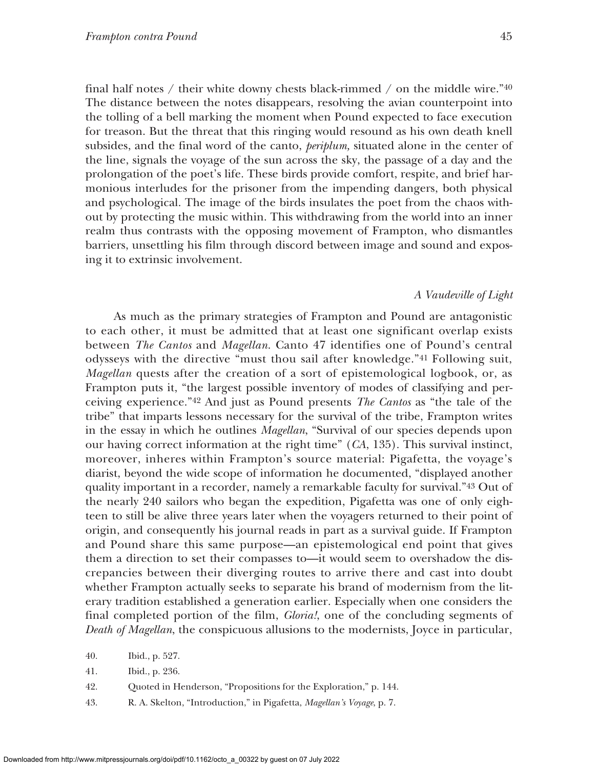final half notes / their white downy chests black-rimmed / on the middle wire." $40$ The distance between the notes disappears, resolving the avian counterpoint into the tolling of a bell marking the moment when Pound expected to face execution for treason. But the threat that this ringing would resound as his own death knell subsides, and the final word of the canto, *periplum,* situated alone in the center of the line, signals the voyage of the sun across the sky, the passage of a day and the prolongation of the poet's life. These birds provide comfort, respite, and brief harmonious interludes for the prisoner from the impending dangers, both physical and psychological. The image of the birds insulates the poet from the chaos without by protecting the music within. This withdrawing from the world into an inner realm thus contrasts with the opposing movement of Frampton, who dismantles barriers, unsettling his film through discord between image and sound and exposing it to extrinsic involvement.

## *A Vaudeville of Light*

As much as the primary strategies of Frampton and Pound are antagonistic to each other, it must be admitted that at least one significant overlap exists between *The Cantos* and *Magellan*. Canto 47 identifies one of Pound's central odysseys with the directive "must thou sail after knowledge."41 Following suit, *Magellan* quests after the creation of a sort of epistemological logbook, or, as Frampton puts it, "the largest possible inventory of modes of classifying and perceiving experience."42 And just as Pound presents *The Cantos* as "the tale of the tribe" that imparts lessons necessary for the survival of the tribe, Frampton writes in the essay in which he outlines *Magellan*, "Survival of our species depends upon our having correct information at the right time" (*CA*, 135). This survival instinct, moreover, inheres within Frampton's source material: Pigafetta, the voyage's diarist, beyond the wide scope of information he documented, "displayed another quality important in a recorder, namely a remarkable faculty for survival."43 Out of the nearly 240 sailors who began the expedition, Pigafetta was one of only eighteen to still be alive three years later when the voyagers returned to their point of origin, and consequently his journal reads in part as a survival guide. If Frampton and Pound share this same purpose—an epistemological end point that gives them a direction to set their compasses to—it would seem to overshadow the discrepancies between their diverging routes to arrive there and cast into doubt whether Frampton actually seeks to separate his brand of modernism from the literary tradition established a generation earlier. Especially when one considers the final completed portion of the film, *Gloria!*, one of the concluding segments of *Death of Magellan*, the conspicuous allusions to the modernists, Joyce in particular,

- 41. Ibid., p. 236.
- 42. Quoted in Henderson, "Propositions for the Exploration," p. 144.
- 43. R. A. Skelton, "Introduction," in Pigafetta, *Magellan's Voyage*, p. 7.

<sup>40.</sup> Ibid., p. 527.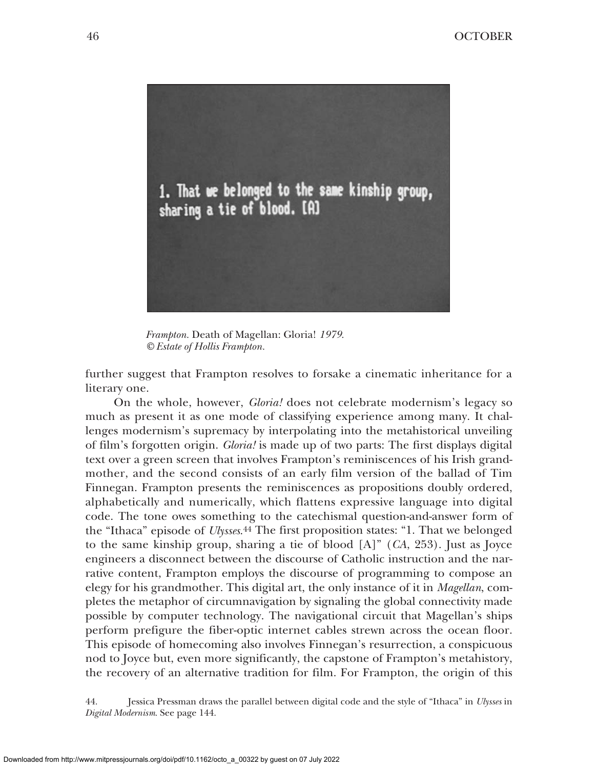

*Frampton.* Death of Magellan: Gloria! *1979. © Estate of Hollis Frampton.*

further suggest that Frampton resolves to forsake a cinematic inheritance for a literary one.

On the whole, however, *Gloria!* does not celebrate modernism's legacy so much as present it as one mode of classifying experience among many. It challenges modernism's supremacy by interpolating into the metahistorical unveiling of film's forgotten origin. *Gloria!* is made up of two parts: The first displays digital text over a green screen that involves Frampton's reminiscences of his Irish grandmother, and the second consists of an early film version of the ballad of Tim Finnegan. Frampton presents the reminiscences as propositions doubly ordered, alphabetically and numerically, which flattens expressive language into digital code. The tone owes something to the catechismal question-and-answer form of the "Ithaca" episode of *Ulysses*.44 The first proposition states: "1. That we belonged to the same kinship group, sharing a tie of blood [A]" (*CA*, 253). Just as Joyce engineers a disconnect between the discourse of Catholic instruction and the narrative content, Frampton employs the discourse of programming to compose an elegy for his grandmother. This digital art, the only instance of it in *Magellan*, completes the metaphor of circumnavigation by signaling the global connectivity made possible by computer technology. The navigational circuit that Magellan's ships perform prefigure the fiber-optic internet cables strewn across the ocean floor. This episode of homecoming also involves Finnegan's resurrection, a conspicuous nod to Joyce but, even more significantly, the capstone of Frampton's metahistory, the recovery of an alternative tradition for film. For Frampton, the origin of this

44. Jessica Pressman draws the parallel between digital code and the style of "Ithaca" in *Ulysses* in *Digital Modernism*. See page 144.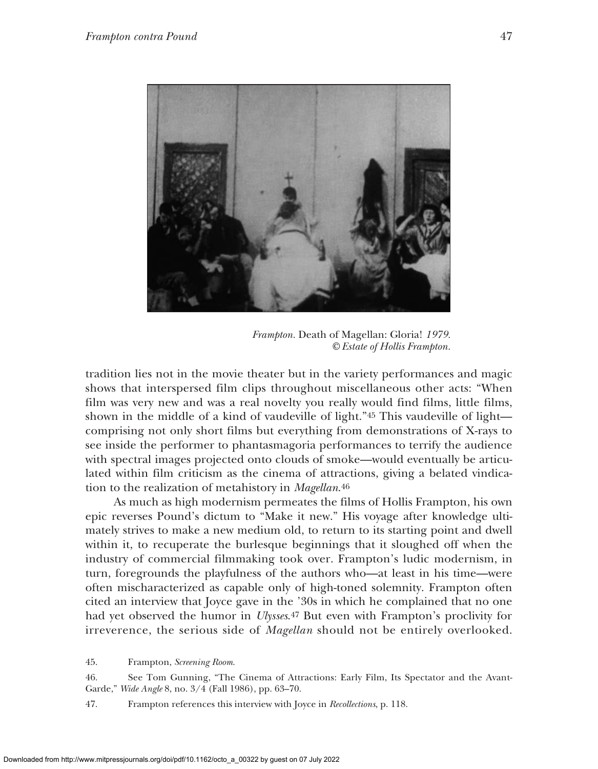

*Frampton.* Death of Magellan: Gloria! *1979. © Estate of Hollis Frampton.*

tradition lies not in the movie theater but in the variety performances and magic shows that interspersed film clips throughout miscellaneous other acts: "When film was very new and was a real novelty you really would find films, little films, shown in the middle of a kind of vaudeville of light."45 This vaudeville of light comprising not only short films but everything from demonstrations of X-rays to see inside the performer to phantasmagoria performances to terrify the audience with spectral images projected onto clouds of smoke—would eventually be articulated within film criticism as the cinema of attractions, giving a belated vindication to the realization of metahistory in *Magellan*.46

As much as high modernism permeates the films of Hollis Frampton, his own epic reverses Pound's dictum to "Make it new." His voyage after knowledge ultimately strives to make a new medium old, to return to its starting point and dwell within it, to recuperate the burlesque beginnings that it sloughed off when the industry of commercial filmmaking took over. Frampton's ludic modernism, in turn, foregrounds the playfulness of the authors who—at least in his time—were often mischaracterized as capable only of high-toned solemnity. Frampton often cited an interview that Joyce gave in the '30s in which he complained that no one had yet observed the humor in *Ulysses*.47 But even with Frampton's proclivity for irreverence, the serious side of *Magellan* should not be entirely overlooked.

45. Frampton, *Screening Room*.

46. See Tom Gunning, "The Cinema of Attractions: Early Film, Its Spectator and the Avant-Garde," *Wide Angle* 8, no. 3/4 (Fall 1986), pp. 63–70.

47. Frampton references this interview with Joyce in *Recollections*, p. 118.